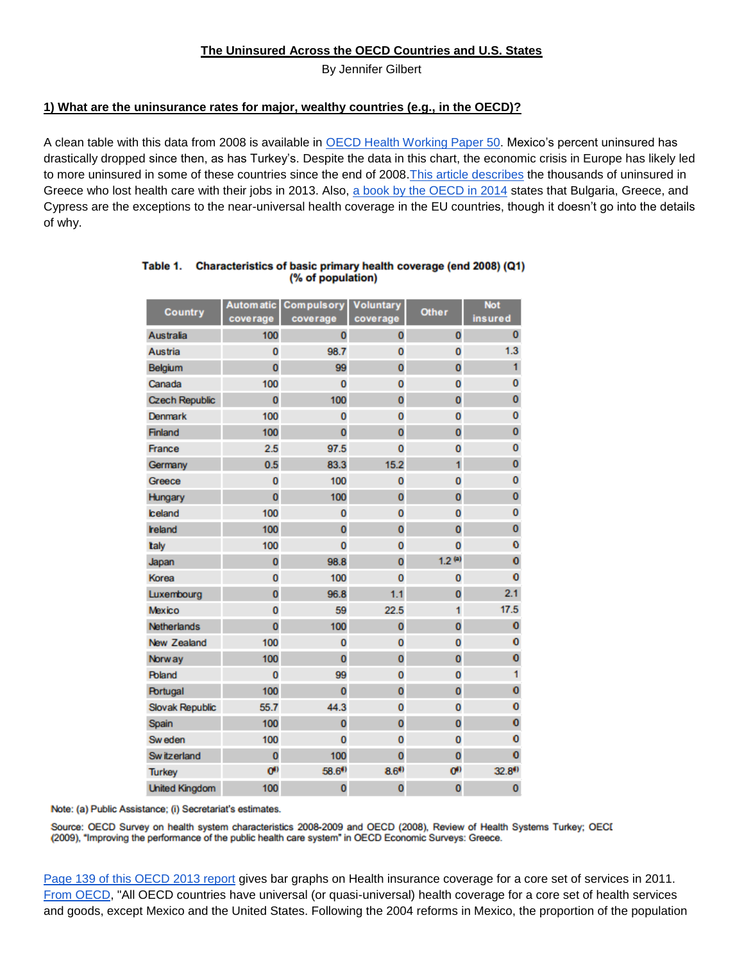**The Uninsured Across the OECD Countries and U.S. States**

By Jennifer Gilbert

## **1) What are the uninsurance rates for major, wealthy countries (e.g., in the OECD)?**

A clean table with this data from 2008 is available in [OECD Health Working Paper 50.](https://www.wbginvestmentclimate.org/toolkits/public-policy-toolkit/upload/OECD-Survey.pdf) Mexico's percent uninsured has drastically dropped since then, as has Turkey's. Despite the data in this chart, the economic crisis in Europe has likely led to more uninsured in some of these countries since the end of 2008. This article describes the thousands of uninsured in Greece who lost health care with their jobs in 2013. Also, [a book by the OECD in 2014](https://books.google.com/books?id=-h6qBQAAQBAJ&pg=PA108&lpg=PA108&dq=uninsured+health+luxembourg+population&source=bl&ots=FJ3HDPWVXg&sig=tb7C4GmIdT0LHK_igzkmvmo_F9c&hl=en&sa=X&ei=Q5PrVMrYI5S_sQS214C4Bw&ved=0CCgQ6AEwAjgK#v=onepage&q=uninsured&f=false) states that Bulgaria, Greece, and Cypress are the exceptions to the near-universal health coverage in the EU countries, though it doesn't go into the details of why.

| <b>Country</b>        |                  | Automatic Compulsory Voluntary |                      | <b>Other</b>     | <b>Not</b>         |
|-----------------------|------------------|--------------------------------|----------------------|------------------|--------------------|
|                       | coverage         | coverage                       | coverage             |                  | insured            |
| <b>Australia</b>      | 100              | $\overline{0}$                 | O                    | $\bf{0}$         | $\mathbf{0}$       |
| Austria               | $\overline{0}$   | 98.7                           | $\overline{0}$       | 0                | 1.3                |
| Belgium               | $\bf{0}$         | 99                             | $\overline{0}$       | $\overline{0}$   | 1                  |
| Canada                | 100              | $\bf{0}$                       | 0                    | 0                | $\bf{0}$           |
| <b>Czech Republic</b> | $\overline{0}$   | 100                            | $\overline{0}$       | $\overline{0}$   | 0                  |
| Denmark               | 100              | 0                              | $\bf{0}$             | $\bf{0}$         | 0                  |
| <b>Finland</b>        | 100              | $\overline{0}$                 | $\overline{0}$       | $\overline{0}$   | $\overline{0}$     |
| France                | 2.5              | 97.5                           | $\overline{0}$       | $\bf{0}$         | $\bf{0}$           |
| Germany               | 0.5              | 83.3                           | 15.2                 | 1                | $\mathbf{0}$       |
| Greece                | $\bf{0}$         | 100                            | $\overline{0}$       | $\bf{0}$         | 0                  |
| Hungary               | $\overline{0}$   | 100                            | O                    | $\overline{0}$   | $\mathbf{0}$       |
| <b>celand</b>         | 100              | $\bf{0}$                       | 0                    | $\bf{0}$         | 0                  |
| reland                | 100              | O                              | 0                    | 0                | $\bf{0}$           |
| taly                  | 100              | $\bf{0}$                       | $\overline{0}$       | 0                | $\mathbf 0$        |
| Japan                 | $\overline{0}$   | 98.8                           | $\overline{0}$       | $1.2^{(a)}$      | $\mathbf{O}$       |
| Korea                 | 0                | 100                            | 0                    | $\bf{0}$         | $\bf{O}$           |
| Luxembourg            | $\overline{0}$   | 96.8                           | 1.1                  | $\bf{0}$         | 2.1                |
| Mexico                | $\bf{0}$         | 59                             | 22.5                 | 1                | 17.5               |
| <b>Netherlands</b>    | $\overline{0}$   | 100                            | $\overline{0}$       | $\bf{0}$         | $\mathbf{O}$       |
| New Zealand           | 100              | 0                              | $\bf{0}$             | $\bf{0}$         | $\bf{0}$           |
| <b>Norway</b>         | 100              | $\overline{0}$                 | o                    | $\overline{0}$   | $\mathbf 0$        |
| <b>Roland</b>         | $\bf{0}$         | 99                             | $\overline{0}$       | $\bf{0}$         | 1                  |
| Portugal              | 100              | $\overline{0}$                 | $\overline{0}$       | 0                | $\bullet$          |
| Slovak Republic       | 55.7             | 44.3                           | 0                    | $\bf{0}$         | 0                  |
| Spain                 | 100              | o                              | $\overline{0}$       | $\overline{0}$   | $\mathbf 0$        |
| Sw eden               | 100              | $\overline{0}$                 | $\overline{0}$       | $\bf{0}$         | $\mathbf 0$        |
| Sw itzerland          | $\overline{0}$   | 100                            | $\overline{0}$       | $\overline{0}$   | $\bf{0}$           |
| <b>Turkey</b>         | O <sup>(n)</sup> | 58.6 <sup>(4)</sup>            | $8.6$ <sup>(i)</sup> | O <sup>(1)</sup> | 32.8 <sup>()</sup> |
| <b>United Kingdom</b> | 100              | o                              | $\overline{0}$       | $\bf{0}$         | 0                  |

## Table 1. Characteristics of basic primary health coverage (end 2008) (Q1) (% of population)

Note: (a) Public Assistance; (i) Secretariat's estimates.

Source: OECD Survey on health system characteristics 2008-2009 and OECD (2008), Review of Health Systems Turkey; OECI (2009), "Improving the performance of the public health care system" in OECD Economic Surveys: Greece.

[Page 139 of this OECD 2013 report](http://www.oecd-ilibrary.org/docserver/download/8113161e.pdf?expires=1424137116&id=id&accname=guest&checksum=135630F4BB8DAD4A6F47D63F2214B9E1) gives bar graphs on Health insurance coverage for a core set of services in 2011. [From OECD,](http://www.oecd.org/els/health-systems/Health-at-a-Glance-2013.pdf) "All OECD countries have universal (or quasi-universal) health coverage for a core set of health services and goods, except Mexico and the United States. Following the 2004 reforms in Mexico, the proportion of the population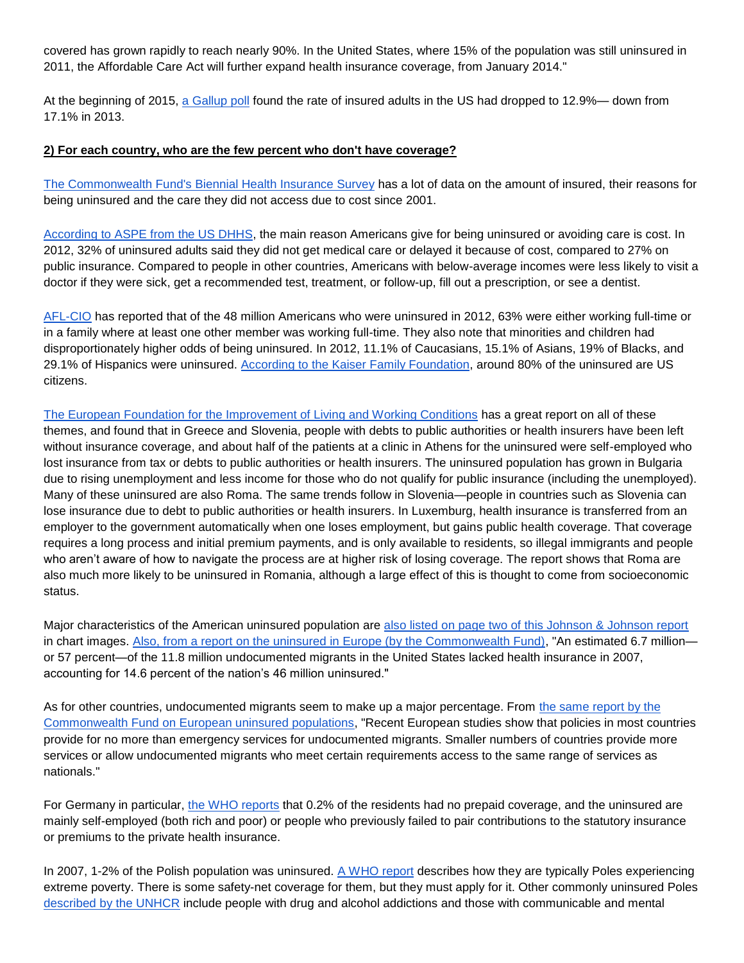covered has grown rapidly to reach nearly 90%. In the United States, where 15% of the population was still uninsured in 2011, the Affordable Care Act will further expand health insurance coverage, from January 2014."

At the beginning of 2015, [a Gallup poll](http://www.gallup.com/poll/180425/uninsured-rate-sinks.aspx) found the rate of insured adults in the US had dropped to 12.9%— down from 17.1% in 2013.

## **2) [F](http://www.commonwealthfund.org/publications/issue-briefs/2015/jan/biennial-health-insurance-survey)or each country, who are the few percent who don't have coverage?**

[The Commonwealth Fund's Biennial](http://www.commonwealthfund.org/publications/issue-briefs/2015/jan/biennial-health-insurance-survey) Health Insurance Survey has a lot of data on the amount of insured, their reasons for being uninsured and the care they did not access due to cost since 2001.

[According to ASPE from the US DHHS,](https://healthmeasures.aspe.hhs.gov/measure/7) the main reason Americans give for being uninsured or avoiding care is cost. In 2012, 32% of uninsured adults said they did not get medical care or delayed it because of cost, compared to 27% on public insurance. Compared to people in other countries, Americans with below-average incomes were less likely to visit a doctor if they were sick, get a recommended test, treatment, or follow-up, fill out a prescription, or see a dentist.

[AFL-CIO](http://dpeaflcio.org/the-u-s-health-care-system-an-international-perspective/) has reported that of the 48 million Americans who were uninsured in 2012, 63% were either working full-time or in a family where at least one other member was working full-time. They also note that minorities and children had disproportionately higher odds of being uninsured. In 2012, 11.1% of Caucasians, 15.1% of Asians, 19% of Blacks, and 29.1% of Hispanics were uninsured. [According to the Kaiser Family Foundation,](http://kff.org/health-reform/fact-sheet/the-uninsured-and-the-difference-health-insurance/) around 80% of the uninsured are US citizens.

[The European Foundation for the Improvement of Living and Working Conditions](http://eurofound.europa.eu/sites/default/files/ef_publication/field_ef_document/ef1442en.pdf) has a great report on all of these themes, and found that in Greece and Slovenia, people with debts to public authorities or health insurers have been left without insurance coverage, and about half of the patients at a clinic in Athens for the uninsured were self-employed who lost insurance from tax or debts to public authorities or health insurers. The uninsured population has grown in Bulgaria due to rising unemployment and less income for those who do not qualify for public insurance (including the unemployed). Many of these uninsured are also Roma. The same trends follow in Slovenia—people in countries such as Slovenia can lose insurance due to debt to public authorities or health insurers. In Luxemburg, health insurance is transferred from an employer to the government automatically when one loses employment, but gains public health coverage. That coverage requires a long process and initial premium payments, and is only available to residents, so illegal immigrants and people who aren't aware of how to navigate the process are at higher risk of losing coverage. The report shows that Roma are also much more likely to be uninsured in Romania, although a large effect of this is thought to come from socioeconomic status.

Major characteristics of the American uninsured population ar[e](https://www.jnj.com/sites/default/files/pdf/the-uninsured.pdf) [also listed on page two of this Johnson & Johnson report](https://www.jnj.com/sites/default/files/pdf/the-uninsured.pdf) in chart images. [Also, from a report on the uninsured in Europe \(by the Commonwealth Fund\),](http://www.commonwealthfund.org/~/media/Files/Publications/Issue%20Brief/2012/Dec/1650_Gray_hlt_care_undocumented_migrants_intl_brief.pdf) "An estimated 6.7 million or 57 percent—of the 11.8 million undocumented migrants in the United States lacked health insurance in 2007, accounting for 14.6 percent of the nation's 46 million uninsured."

As for other countries, undocumented migrants seem to make up a major percentage. From the same report by the [Commonwealth Fund on European uninsured populations,](http://www.commonwealthfund.org/~/media/Files/Publications/Issue%20Brief/2012/Dec/1650_Gray_hlt_care_undocumented_migrants_intl_brief.pdf) "Recent European studies show that policies in most countries provide for no more than emergency services for undocumented migrants. Smaller numbers of countries provide more services or allow undocumented migrants who meet certain requirements access to the same range of services as nationals."

For Germany in particular, [the WHO reports](http://www.euro.who.int/__data/assets/pdf_file/0018/80703/E85472.pdf) that 0.2% of the residents had no prepaid coverage, and the uninsured are mainly self-employed (both rich and poor) or people who previously failed to pair contributions to the statutory insurance or premiums to the private health insurance.

In 2007, 1-2% of the Polish population was uninsured. A [WHO report](http://data.euro.who.int/Equity/hidb/Resources/Details.aspx?id=7) describes how they are typically Poles experiencing extreme poverty. There is some safety-net coverage for them, but they must apply for it. Other commonly uninsured Poles [described by the UNHCR](http://www.refworld.org/docid/542925344.html) include people with drug and alcohol addictions and those with communicable and mental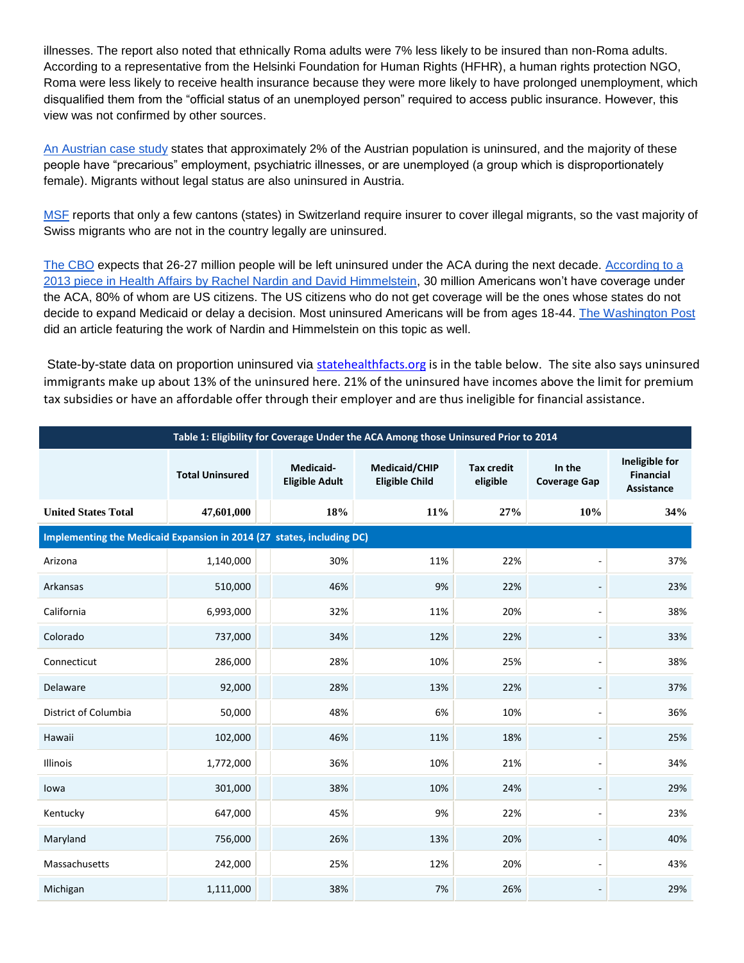illnesses. The report also noted that ethnically Roma adults were 7% less likely to be insured than non-Roma adults. According to a representative from the Helsinki Foundation for Human Rights (HFHR), a human rights protection NGO, Roma were less likely to receive health insurance because they were more likely to have prolonged unemployment, which disqualified them from the "official status of an unemployed person" required to access public insurance. However, this view was not confirmed by other sources.

[An Austrian case study](http://download.springer.com.ezp-prod1.hul.harvard.edu/static/pdf/557/art%253A10.1007%252Fs00508-011-0014-z.pdf?auth66=1424724033_d0df47fa06e0f207f0683a9f07b7860b&ext=.pdf) states that approximately 2% of the Austrian population is uninsured, and the majority of these people have "precarious" employment, psychiatric illnesses, or are unemployed (a group which is disproportionately female). Migrants without legal status are also uninsured in Austria.

[MSF](http://www.msf.org/article/switzerland-providing-medical-care-hidden-uninsured) reports that only a few cantons (states) in Switzerland require insurer to cover illegal migrants, so the vast majority of Swiss migrants who are not in the country legally are uninsured.

[The CBO](https://www.cbo.gov/sites/default/files/cbofiles/attachments/43900-2013-05-ACA.pdf) expects that 26-27 million people will be left uninsured under the ACA during the next decade. [According to a](http://healthaffairs.org/blog/2013/06/06/the-uninsured-after-implementation-of-the-affordable-care-act-a-demographic-and-geographic-analysis/)  [2013 piece in Health Affairs by Rachel Nardin and David Himmelstein,](http://healthaffairs.org/blog/2013/06/06/the-uninsured-after-implementation-of-the-affordable-care-act-a-demographic-and-geographic-analysis/) 30 million Americans won't have coverage under the ACA, 80% of whom are US citizens. The US citizens who do not get coverage will be the ones whose states do not decide to expand Medicaid or delay a decision. Most uninsured Americans will be from ages 18-44. [The Washington Post](http://www.washingtonpost.com/blogs/wonkblog/wp/2013/06/07/obamacare-leaves-millions-uninsured-heres-who-they-are/) did an article featuring the work of Nardin and Himmelstein on this topic as well.

State-by-state data on proportion uninsured via [statehealthfacts.org](http://kff.org/health-reform/fact-sheet/how-will-the-uninsured-fare-under-the-affordable-care-act/) is in the table below. The site also says uninsured immigrants make up about 13% of the uninsured here. 21% of the uninsured have incomes above the limit for premium tax subsidies or have an affordable offer through their employer and are thus ineligible for financial assistance.

| Table 1: Eligibility for Coverage Under the ACA Among those Uninsured Prior to 2014 |                        |                                    |                                        |                               |                               |                                                         |
|-------------------------------------------------------------------------------------|------------------------|------------------------------------|----------------------------------------|-------------------------------|-------------------------------|---------------------------------------------------------|
|                                                                                     | <b>Total Uninsured</b> | Medicaid-<br><b>Eligible Adult</b> | Medicaid/CHIP<br><b>Eligible Child</b> | <b>Tax credit</b><br>eligible | In the<br><b>Coverage Gap</b> | Ineligible for<br><b>Financial</b><br><b>Assistance</b> |
| <b>United States Total</b>                                                          | 47,601,000             | 18%                                | 11%                                    | 27%                           | 10%                           | 34%                                                     |
| Implementing the Medicaid Expansion in 2014 (27 states, including DC)               |                        |                                    |                                        |                               |                               |                                                         |
| Arizona                                                                             | 1,140,000              | 30%                                | 11%                                    | 22%                           |                               | 37%                                                     |
| Arkansas                                                                            | 510,000                | 46%                                | 9%                                     | 22%                           |                               | 23%                                                     |
| California                                                                          | 6,993,000              | 32%                                | 11%                                    | 20%                           | $\overline{a}$                | 38%                                                     |
| Colorado                                                                            | 737,000                | 34%                                | 12%                                    | 22%                           |                               | 33%                                                     |
| Connecticut                                                                         | 286,000                | 28%                                | 10%                                    | 25%                           | $\overline{a}$                | 38%                                                     |
| Delaware                                                                            | 92,000                 | 28%                                | 13%                                    | 22%                           | $\overline{\phantom{a}}$      | 37%                                                     |
| District of Columbia                                                                | 50,000                 | 48%                                | 6%                                     | 10%                           | $\sim$                        | 36%                                                     |
| Hawaii                                                                              | 102,000                | 46%                                | 11%                                    | 18%                           |                               | 25%                                                     |
| <b>Illinois</b>                                                                     | 1,772,000              | 36%                                | 10%                                    | 21%                           | $\overline{a}$                | 34%                                                     |
| lowa                                                                                | 301,000                | 38%                                | 10%                                    | 24%                           | $\overline{\phantom{a}}$      | 29%                                                     |
| Kentucky                                                                            | 647,000                | 45%                                | 9%                                     | 22%                           | $\overline{a}$                | 23%                                                     |
| Maryland                                                                            | 756,000                | 26%                                | 13%                                    | 20%                           | $\overline{\phantom{a}}$      | 40%                                                     |
| Massachusetts                                                                       | 242,000                | 25%                                | 12%                                    | 20%                           | $\sim$                        | 43%                                                     |
| Michigan                                                                            | 1,111,000              | 38%                                | 7%                                     | 26%                           |                               | 29%                                                     |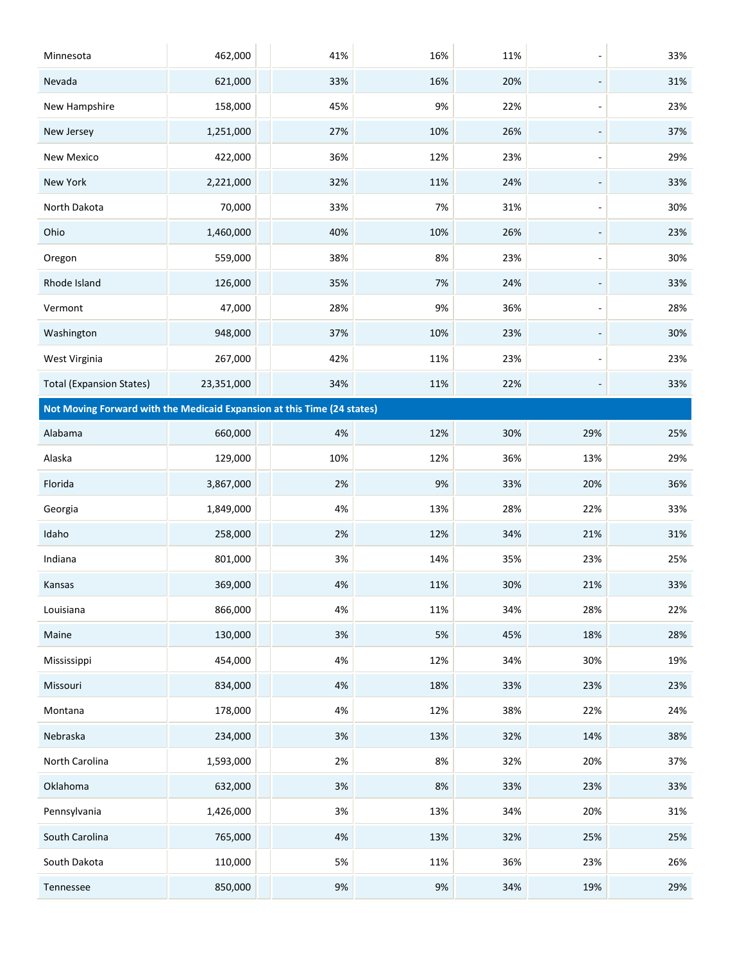| Minnesota                                                               | 462,000    | 41%  | 16%   | 11% | $\overline{\phantom{a}}$     | 33% |
|-------------------------------------------------------------------------|------------|------|-------|-----|------------------------------|-----|
| Nevada                                                                  | 621,000    | 33%  | 16%   | 20% |                              | 31% |
| New Hampshire                                                           | 158,000    | 45%  | 9%    | 22% | $\overline{\phantom{m}}$     | 23% |
| New Jersey                                                              | 1,251,000  | 27%  | 10%   | 26% | $\overline{\phantom{a}}$     | 37% |
| New Mexico                                                              | 422,000    | 36%  | 12%   | 23% | -                            | 29% |
| New York                                                                | 2,221,000  | 32%  | 11%   | 24% | $\overline{\phantom{a}}$     | 33% |
| North Dakota                                                            | 70,000     | 33%  | 7%    | 31% | $\qquad \qquad \blacksquare$ | 30% |
| Ohio                                                                    | 1,460,000  | 40%  | 10%   | 26% | $\overline{\phantom{0}}$     | 23% |
| Oregon                                                                  | 559,000    | 38%  | 8%    | 23% | $\qquad \qquad \blacksquare$ | 30% |
| Rhode Island                                                            | 126,000    | 35%  | 7%    | 24% | $\overline{\phantom{0}}$     | 33% |
| Vermont                                                                 | 47,000     | 28%  | 9%    | 36% | $\blacksquare$               | 28% |
| Washington                                                              | 948,000    | 37%  | 10%   | 23% | $\overline{\phantom{m}}$     | 30% |
| West Virginia                                                           | 267,000    | 42%  | 11%   | 23% | $\overline{\phantom{m}}$     | 23% |
| <b>Total (Expansion States)</b>                                         | 23,351,000 | 34%  | 11%   | 22% | $\overline{\phantom{m}}$     | 33% |
| Not Moving Forward with the Medicaid Expansion at this Time (24 states) |            |      |       |     |                              |     |
| Alabama                                                                 | 660,000    | 4%   | 12%   | 30% | 29%                          | 25% |
| Alaska                                                                  | 129,000    | 10%  | 12%   | 36% | 13%                          | 29% |
| Florida                                                                 | 3,867,000  | 2%   | 9%    | 33% | 20%                          | 36% |
| Georgia                                                                 | 1,849,000  | 4%   | 13%   | 28% | 22%                          | 33% |
| Idaho                                                                   | 258,000    | 2%   | 12%   | 34% | 21%                          | 31% |
| Indiana                                                                 | 801,000    | 3%   | 14%   | 35% | 23%                          | 25% |
| Kansas                                                                  | 369,000    | 4%   | 11%   | 30% | 21%                          | 33% |
| Louisiana                                                               | 866,000    | 4%   | 11%   | 34% | 28%                          | 22% |
| Maine                                                                   | 130,000    | $3%$ | $5\%$ | 45% | 18%                          | 28% |
| Mississippi                                                             | 454,000    | 4%   | 12%   | 34% | 30%                          | 19% |
| Missouri                                                                | 834,000    | 4%   | 18%   | 33% | 23%                          | 23% |
| Montana                                                                 | 178,000    | 4%   | 12%   | 38% | 22%                          | 24% |
| Nebraska                                                                | 234,000    | 3%   | 13%   | 32% | 14%                          | 38% |
| North Carolina                                                          | 1,593,000  | 2%   | 8%    | 32% | 20%                          | 37% |
| Oklahoma                                                                | 632,000    | 3%   | 8%    | 33% | 23%                          | 33% |
| Pennsylvania                                                            | 1,426,000  | 3%   | 13%   | 34% | 20%                          | 31% |
| South Carolina                                                          | 765,000    | 4%   | 13%   | 32% | 25%                          | 25% |
| South Dakota                                                            | 110,000    | 5%   | 11%   | 36% | 23%                          | 26% |
| Tennessee                                                               | 850,000    | $9%$ | $9%$  | 34% | 19%                          | 29% |